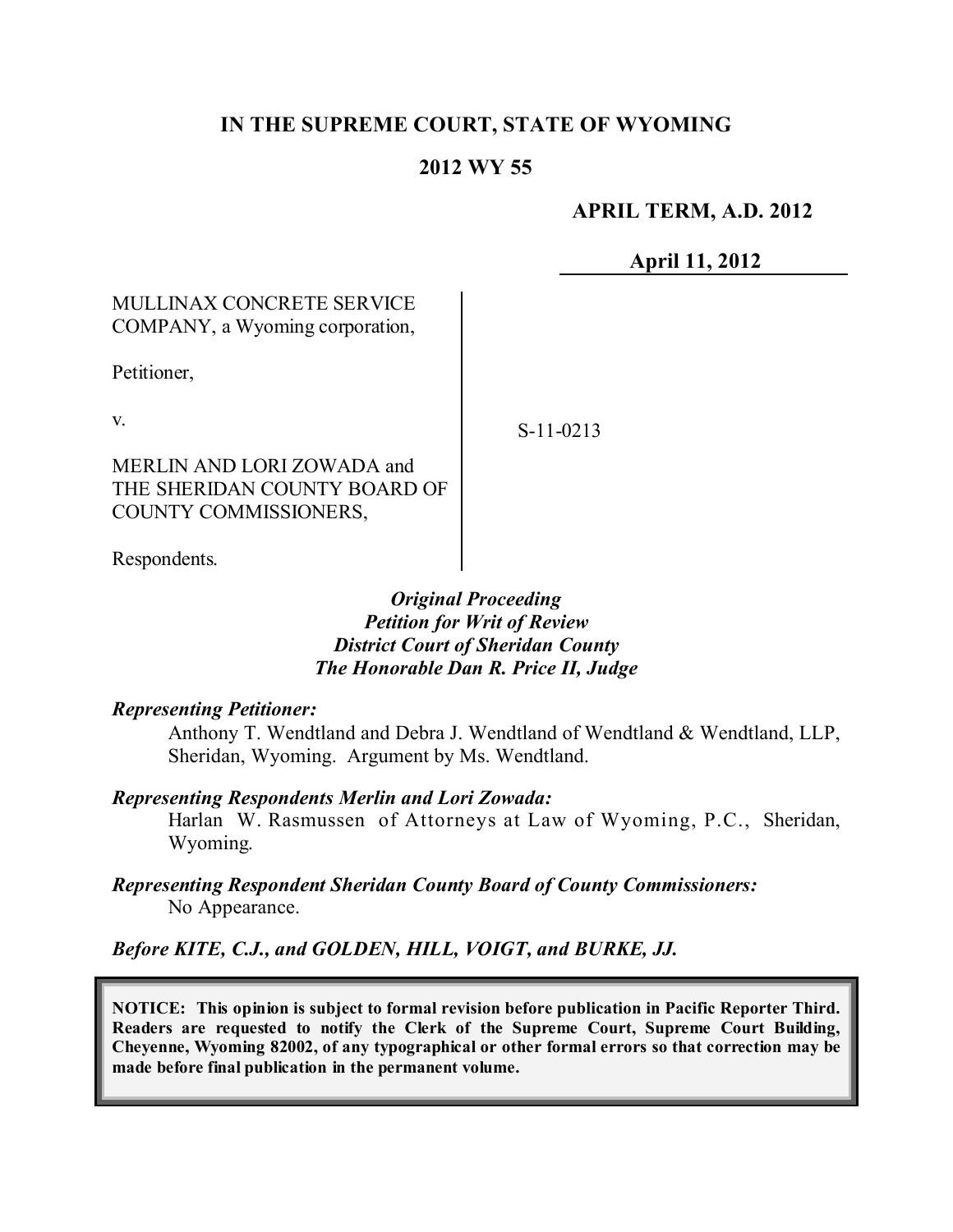# **IN THE SUPREME COURT, STATE OF WYOMING**

### **2012 WY 55**

### **APRIL TERM, A.D. 2012**

**April 11, 2012**

## MULLINAX CONCRETE SERVICE COMPANY, a Wyoming corporation,

Petitioner,

v.

MERLIN AND LORI ZOWADA and THE SHERIDAN COUNTY BOARD OF COUNTY COMMISSIONERS,

Respondents.

## *Original Proceeding Petition for Writ of Review District Court of Sheridan County The Honorable Dan R. Price II, Judge*

#### *Representing Petitioner:*

Anthony T. Wendtland and Debra J. Wendtland of Wendtland & Wendtland, LLP, Sheridan, Wyoming. Argument by Ms. Wendtland.

#### *Representing Respondents Merlin and Lori Zowada:*

Harlan W. Rasmussen of Attorneys at Law of Wyoming, P.C., Sheridan, Wyoming.

#### *Representing Respondent Sheridan County Board of County Commissioners:* No Appearance.

*Before KITE, C.J., and GOLDEN, HILL, VOIGT, and BURKE, JJ.*

**NOTICE: This opinion is subject to formal revision before publication in Pacific Reporter Third. Readers are requested to notify the Clerk of the Supreme Court, Supreme Court Building, Cheyenne, Wyoming 82002, of any typographical or other formal errors so that correction may be made before final publication in the permanent volume.**

S-11-0213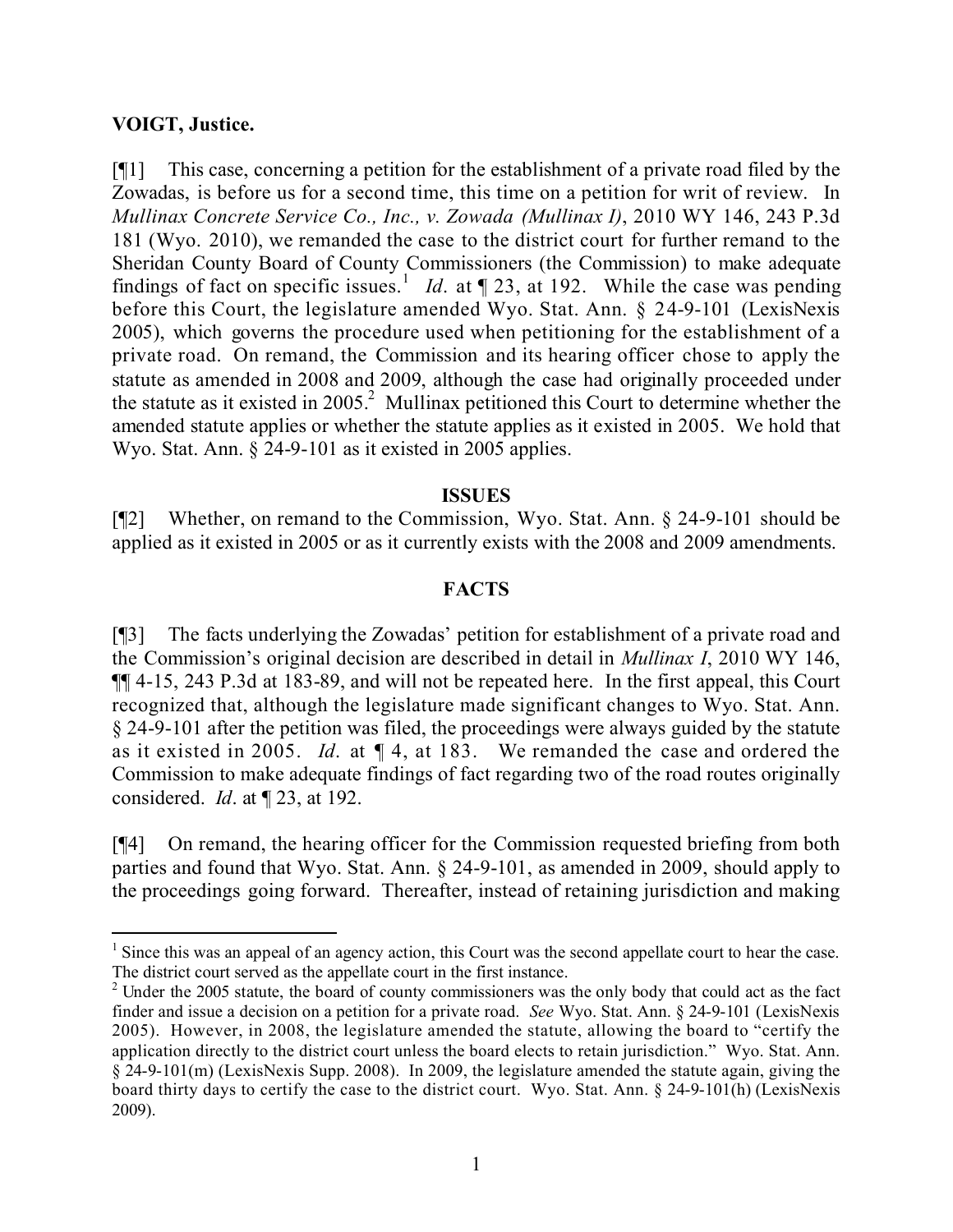#### **VOIGT, Justice.**

 $\overline{a}$ 

[¶1] This case, concerning a petition for the establishment of a private road filed by the Zowadas, is before us for a second time, this time on a petition for writ of review. In *Mullinax Concrete Service Co., Inc., v. Zowada (Mullinax I)*, 2010 WY 146, 243 P.3d 181 (Wyo. 2010), we remanded the case to the district court for further remand to the Sheridan County Board of County Commissioners (the Commission) to make adequate findings of fact on specific issues.<sup>1</sup> *Id*. at  $\llbracket 23$ , at 192. While the case was pending before this Court, the legislature amended Wyo. Stat. Ann. § 24-9-101 (LexisNexis 2005), which governs the procedure used when petitioning for the establishment of a private road. On remand, the Commission and its hearing officer chose to apply the statute as amended in 2008 and 2009, although the case had originally proceeded under the statute as it existed in 2005.<sup>2</sup> Mullinax petitioned this Court to determine whether the amended statute applies or whether the statute applies as it existed in 2005. We hold that Wyo. Stat. Ann. § 24-9-101 as it existed in 2005 applies.

#### **ISSUES**

[¶2] Whether, on remand to the Commission, Wyo. Stat. Ann. § 24-9-101 should be applied as it existed in 2005 or as it currently exists with the 2008 and 2009 amendments.

#### **FACTS**

[¶3] The facts underlying the Zowadas' petition for establishment of a private road and the Commission's original decision are described in detail in *Mullinax I*, 2010 WY 146, ¶¶ 4-15, 243 P.3d at 183-89, and will not be repeated here. In the first appeal, this Court recognized that, although the legislature made significant changes to Wyo. Stat. Ann. § 24-9-101 after the petition was filed, the proceedings were always guided by the statute as it existed in 2005. *Id*. at ¶ 4, at 183. We remanded the case and ordered the Commission to make adequate findings of fact regarding two of the road routes originally considered. *Id*. at ¶ 23, at 192.

[¶4] On remand, the hearing officer for the Commission requested briefing from both parties and found that Wyo. Stat. Ann. § 24-9-101, as amended in 2009, should apply to the proceedings going forward. Thereafter, instead of retaining jurisdiction and making

 $<sup>1</sup>$  Since this was an appeal of an agency action, this Court was the second appellate court to hear the case.</sup> The district court served as the appellate court in the first instance.

 $2$  Under the 2005 statute, the board of county commissioners was the only body that could act as the fact finder and issue a decision on a petition for a private road. *See* Wyo. Stat. Ann. § 24-9-101 (LexisNexis 2005). However, in 2008, the legislature amended the statute, allowing the board to "certify the application directly to the district court unless the board elects to retain jurisdiction." Wyo. Stat. Ann.  $\frac{24}{9}$ -9-101(m) (LexisNexis Supp. 2008). In 2009, the legislature amended the statute again, giving the board thirty days to certify the case to the district court. Wyo. Stat. Ann. § 24-9-101(h) (LexisNexis 2009).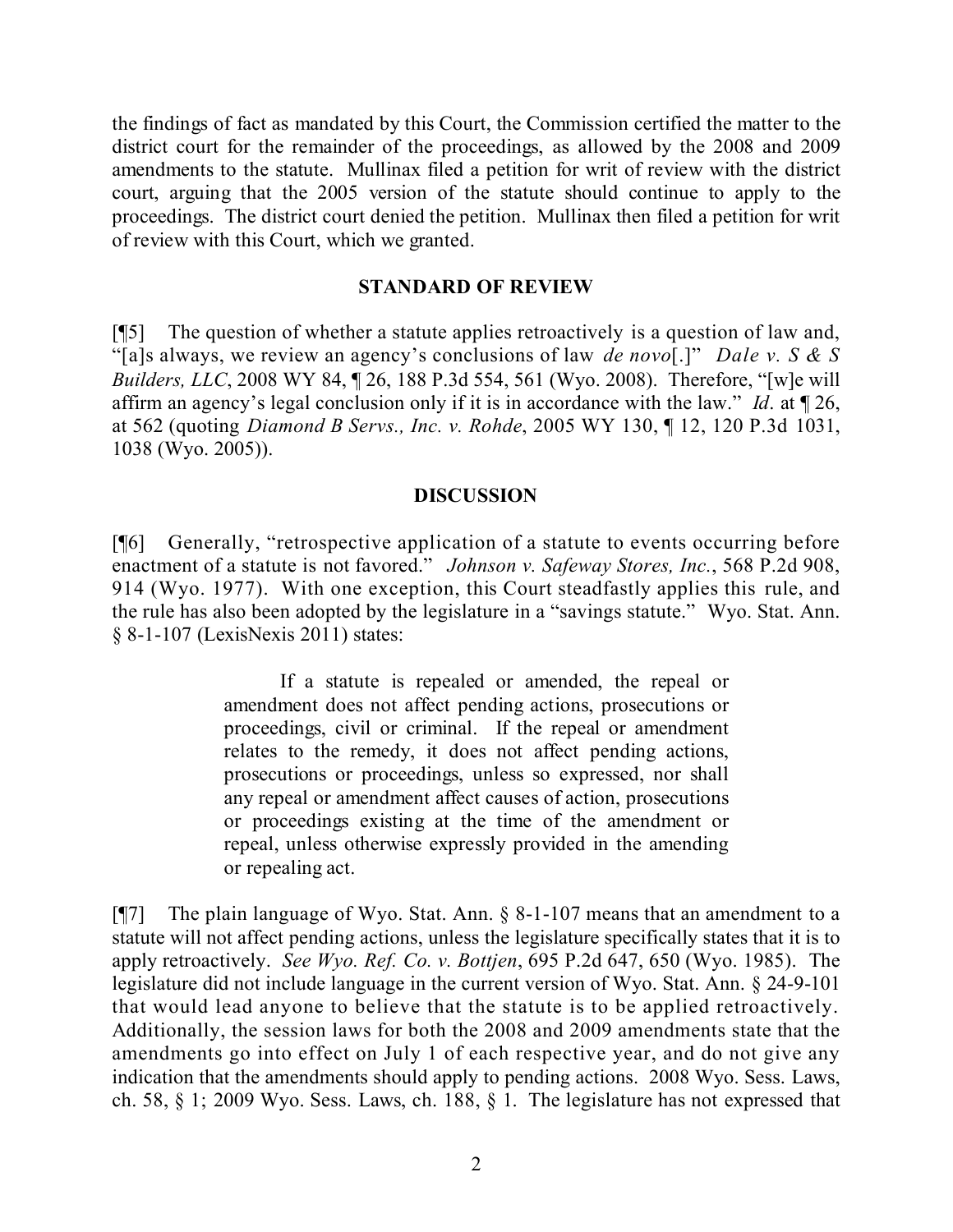the findings of fact as mandated by this Court, the Commission certified the matter to the district court for the remainder of the proceedings, as allowed by the 2008 and 2009 amendments to the statute. Mullinax filed a petition for writ of review with the district court, arguing that the 2005 version of the statute should continue to apply to the proceedings. The district court denied the petition. Mullinax then filed a petition for writ of review with this Court, which we granted.

#### **STANDARD OF REVIEW**

[¶5] The question of whether a statute applies retroactively is a question of law and, "[a]s always, we review an agency's conclusions of law *de novo*[.]" *Dale v. S & S Builders, LLC*, 2008 WY 84, ¶ 26, 188 P.3d 554, 561 (Wyo. 2008). Therefore, "[w]e will affirm an agency's legal conclusion only if it is in accordance with the law." *Id*. at ¶ 26, at 562 (quoting *Diamond B Servs., Inc. v. Rohde*, 2005 WY 130, ¶ 12, 120 P.3d 1031, 1038 (Wyo. 2005)).

#### **DISCUSSION**

[¶6] Generally, "retrospective application of a statute to events occurring before enactment of a statute is not favored." *Johnson v. Safeway Stores, Inc.*, 568 P.2d 908, 914 (Wyo. 1977). With one exception, this Court steadfastly applies this rule, and the rule has also been adopted by the legislature in a "savings statute." Wyo. Stat. Ann. § 8-1-107 (LexisNexis 2011) states:

> If a statute is repealed or amended, the repeal or amendment does not affect pending actions, prosecutions or proceedings, civil or criminal. If the repeal or amendment relates to the remedy, it does not affect pending actions, prosecutions or proceedings, unless so expressed, nor shall any repeal or amendment affect causes of action, prosecutions or proceedings existing at the time of the amendment or repeal, unless otherwise expressly provided in the amending or repealing act.

[¶7] The plain language of Wyo. Stat. Ann. § 8-1-107 means that an amendment to a statute will not affect pending actions, unless the legislature specifically states that it is to apply retroactively. *See Wyo. Ref. Co. v. Bottjen*, 695 P.2d 647, 650 (Wyo. 1985). The legislature did not include language in the current version of Wyo. Stat. Ann. § 24-9-101 that would lead anyone to believe that the statute is to be applied retroactively. Additionally, the session laws for both the 2008 and 2009 amendments state that the amendments go into effect on July 1 of each respective year, and do not give any indication that the amendments should apply to pending actions. 2008 Wyo. Sess. Laws, ch. 58, § 1; 2009 Wyo. Sess. Laws, ch. 188, § 1. The legislature has not expressed that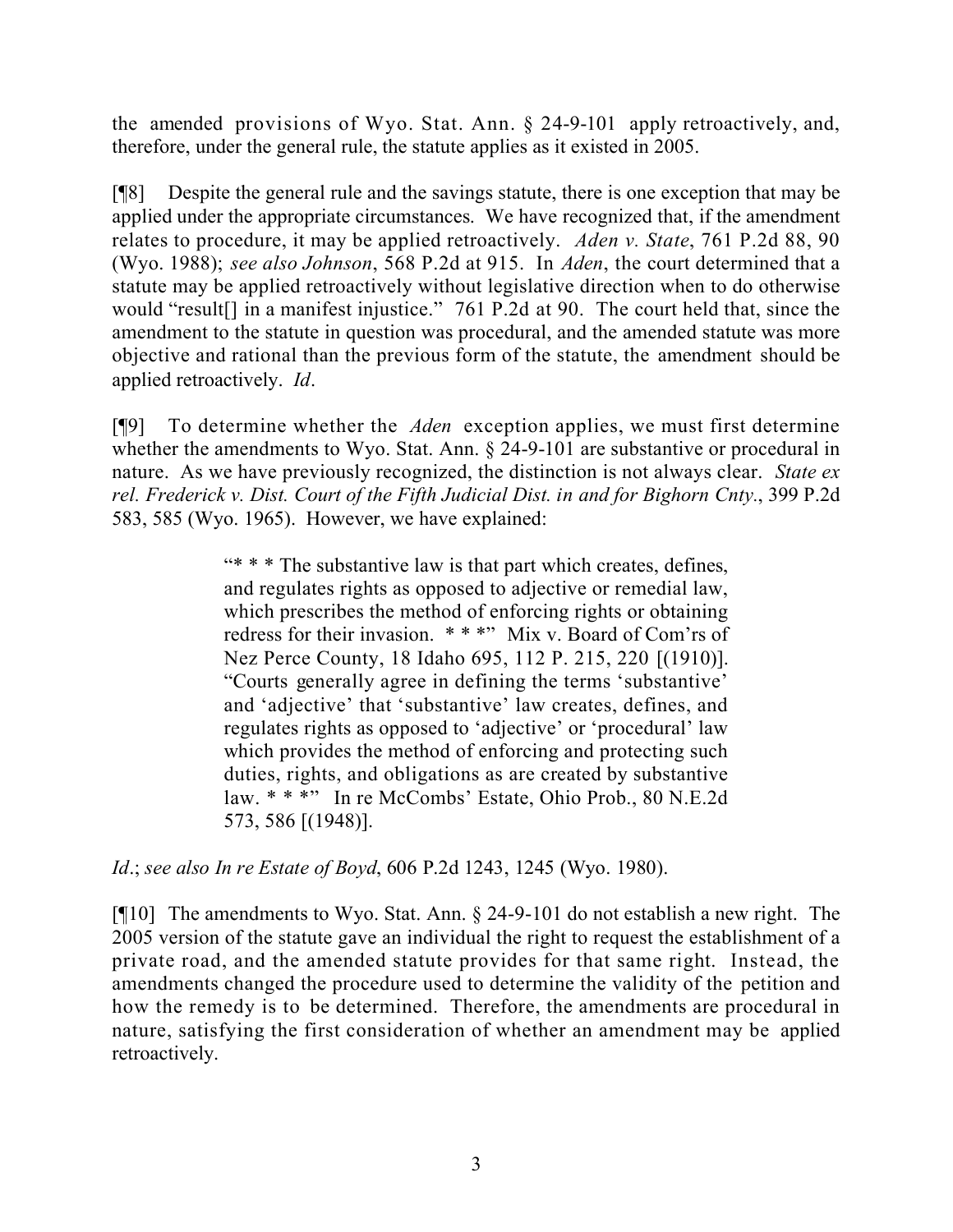the amended provisions of Wyo. Stat. Ann. § 24-9-101 apply retroactively, and, therefore, under the general rule, the statute applies as it existed in 2005.

[¶8] Despite the general rule and the savings statute, there is one exception that may be applied under the appropriate circumstances. We have recognized that, if the amendment relates to procedure, it may be applied retroactively. *Aden v. State*, 761 P.2d 88, 90 (Wyo. 1988); *see also Johnson*, 568 P.2d at 915. In *Aden*, the court determined that a statute may be applied retroactively without legislative direction when to do otherwise would "result[] in a manifest injustice." 761 P.2d at 90. The court held that, since the amendment to the statute in question was procedural, and the amended statute was more objective and rational than the previous form of the statute, the amendment should be applied retroactively. *Id*.

[¶9] To determine whether the *Aden* exception applies, we must first determine whether the amendments to Wyo. Stat. Ann. § 24-9-101 are substantive or procedural in nature. As we have previously recognized, the distinction is not always clear. *State ex rel. Frederick v. Dist. Court of the Fifth Judicial Dist. in and for Bighorn Cnty.*, 399 P.2d 583, 585 (Wyo. 1965). However, we have explained:

> "\* \* \* The substantive law is that part which creates, defines, and regulates rights as opposed to adjective or remedial law, which prescribes the method of enforcing rights or obtaining redress for their invasion. \* \* \*" Mix v. Board of Com'rs of Nez Perce County, 18 Idaho 695, 112 P. 215, 220 [(1910)]. "Courts generally agree in defining the terms 'substantive' and 'adjective' that 'substantive' law creates, defines, and regulates rights as opposed to 'adjective' or 'procedural' law which provides the method of enforcing and protecting such duties, rights, and obligations as are created by substantive law. \* \* \*" In re McCombs' Estate, Ohio Prob., 80 N.E.2d 573, 586 [(1948)].

*Id*.; *see also In re Estate of Boyd*, 606 P.2d 1243, 1245 (Wyo. 1980).

[¶10] The amendments to Wyo. Stat. Ann. § 24-9-101 do not establish a new right. The 2005 version of the statute gave an individual the right to request the establishment of a private road, and the amended statute provides for that same right. Instead, the amendments changed the procedure used to determine the validity of the petition and how the remedy is to be determined. Therefore, the amendments are procedural in nature, satisfying the first consideration of whether an amendment may be applied retroactively.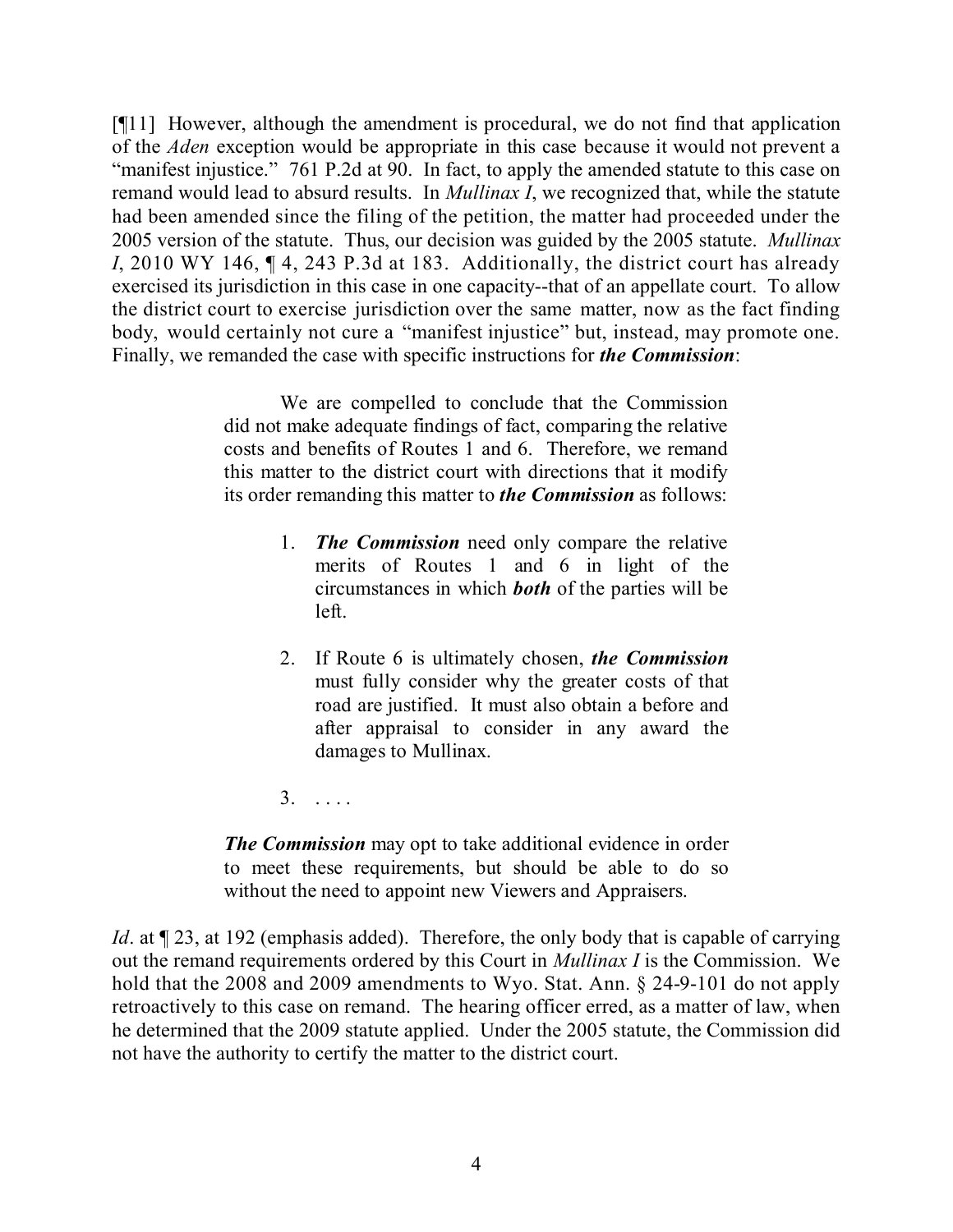[¶11] However, although the amendment is procedural, we do not find that application of the *Aden* exception would be appropriate in this case because it would not prevent a "manifest injustice." 761 P.2d at 90. In fact, to apply the amended statute to this case on remand would lead to absurd results. In *Mullinax I*, we recognized that, while the statute had been amended since the filing of the petition, the matter had proceeded under the 2005 version of the statute. Thus, our decision was guided by the 2005 statute. *Mullinax I*, 2010 WY 146, ¶ 4, 243 P.3d at 183. Additionally, the district court has already exercised its jurisdiction in this case in one capacity--that of an appellate court. To allow the district court to exercise jurisdiction over the same matter, now as the fact finding body, would certainly not cure a "manifest injustice" but, instead, may promote one. Finally, we remanded the case with specific instructions for *the Commission*:

> We are compelled to conclude that the Commission did not make adequate findings of fact, comparing the relative costs and benefits of Routes 1 and 6. Therefore, we remand this matter to the district court with directions that it modify its order remanding this matter to *the Commission* as follows:

- 1. *The Commission* need only compare the relative merits of Routes 1 and 6 in light of the circumstances in which *both* of the parties will be left.
- 2. If Route 6 is ultimately chosen, *the Commission* must fully consider why the greater costs of that road are justified. It must also obtain a before and after appraisal to consider in any award the damages to Mullinax.
- 3. . . . .

*The Commission* may opt to take additional evidence in order to meet these requirements, but should be able to do so without the need to appoint new Viewers and Appraisers.

*Id*. at  $\P$  23, at 192 (emphasis added). Therefore, the only body that is capable of carrying out the remand requirements ordered by this Court in *Mullinax I* is the Commission. We hold that the 2008 and 2009 amendments to Wyo. Stat. Ann. § 24-9-101 do not apply retroactively to this case on remand. The hearing officer erred, as a matter of law, when he determined that the 2009 statute applied. Under the 2005 statute, the Commission did not have the authority to certify the matter to the district court.